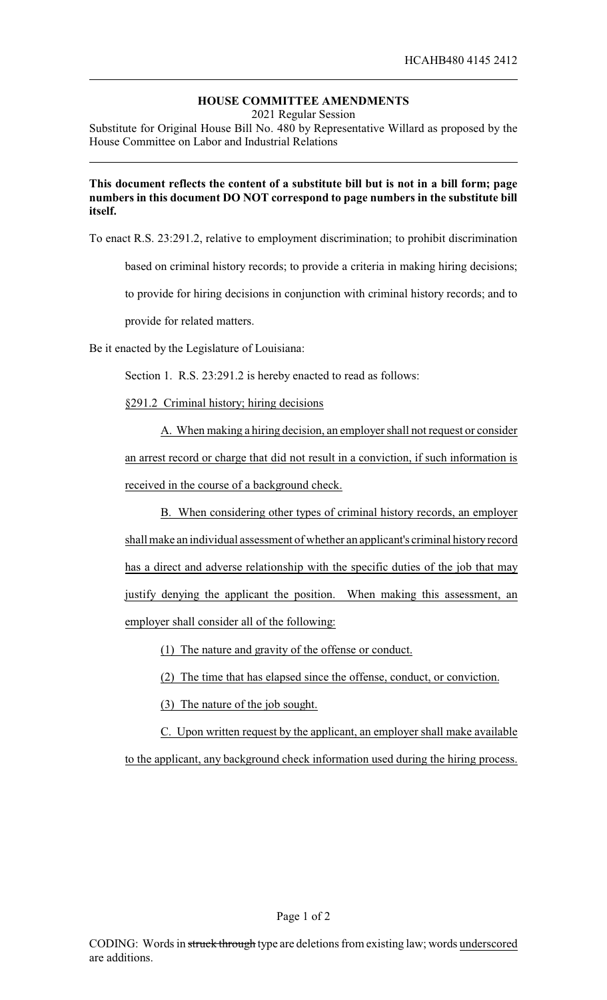## **HOUSE COMMITTEE AMENDMENTS**

2021 Regular Session

Substitute for Original House Bill No. 480 by Representative Willard as proposed by the House Committee on Labor and Industrial Relations

## **This document reflects the content of a substitute bill but is not in a bill form; page numbers in this document DO NOT correspond to page numbers in the substitute bill itself.**

To enact R.S. 23:291.2, relative to employment discrimination; to prohibit discrimination

based on criminal history records; to provide a criteria in making hiring decisions;

to provide for hiring decisions in conjunction with criminal history records; and to

provide for related matters.

Be it enacted by the Legislature of Louisiana:

Section 1. R.S. 23:291.2 is hereby enacted to read as follows:

§291.2 Criminal history; hiring decisions

A. When making a hiring decision, an employer shall not request or consider an arrest record or charge that did not result in a conviction, if such information is received in the course of a background check.

B. When considering other types of criminal history records, an employer shall make an individual assessment of whether an applicant's criminal historyrecord has a direct and adverse relationship with the specific duties of the job that may justify denying the applicant the position. When making this assessment, an employer shall consider all of the following:

(1) The nature and gravity of the offense or conduct.

(2) The time that has elapsed since the offense, conduct, or conviction.

(3) The nature of the job sought.

C. Upon written request by the applicant, an employer shall make available to the applicant, any background check information used during the hiring process.